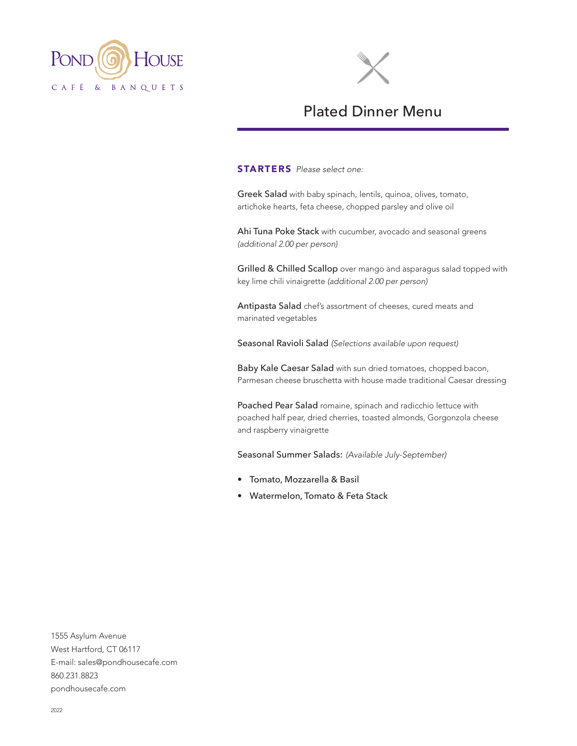



# Plated Dinner Menu

STARTERS *Please select one:*

Greek Salad with baby spinach, lentils, quinoa, olives, tomato, artichoke hearts, feta cheese, chopped parsley and olive oil

Ahi Tuna Poke Stack with cucumber, avocado and seasonal greens *(additional 2.00 per person)*

Grilled & Chilled Scallop over mango and asparagus salad topped with key lime chili vinaigrette *(additional 2.00 per person)*

Antipasta Salad chef's assortment of cheeses, cured meats and marinated vegetables

Seasonal Ravioli Salad *(Selections available upon request)*

Baby Kale Caesar Salad with sun dried tomatoes, chopped bacon, Parmesan cheese bruschetta with house made traditional Caesar dressing

Poached Pear Salad romaine, spinach and radicchio lettuce with poached half pear, dried cherries, toasted almonds, Gorgonzola cheese and raspberry vinaigrette

Seasonal Summer Salads: *(Available July-September)*

- Tomato, Mozzarella & Basil
- Watermelon, Tomato & Feta Stack

1555 Asylum Avenue West Hartford, CT 06117 E-mail: sales@pondhousecafe.com 860.231.8823 pondhousecafe.com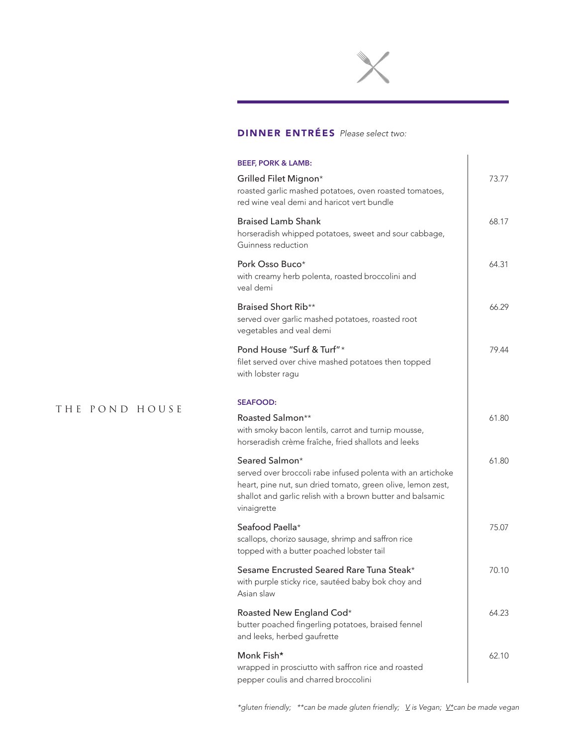

# DINNER ENTRÉES *Please select two:*

| <b>BEEF, PORK &amp; LAMB:</b>                                                                                                                                                                                             |       |
|---------------------------------------------------------------------------------------------------------------------------------------------------------------------------------------------------------------------------|-------|
| Grilled Filet Mignon*<br>roasted garlic mashed potatoes, oven roasted tomatoes,<br>red wine veal demi and haricot vert bundle                                                                                             | 73.77 |
| <b>Braised Lamb Shank</b><br>horseradish whipped potatoes, sweet and sour cabbage,<br>Guinness reduction                                                                                                                  | 68.17 |
| Pork Osso Buco*<br>with creamy herb polenta, roasted broccolini and<br>veal demi                                                                                                                                          | 64.31 |
| Braised Short Rib**<br>served over garlic mashed potatoes, roasted root<br>vegetables and veal demi                                                                                                                       | 66.29 |
| Pond House "Surf & Turf" *<br>filet served over chive mashed potatoes then topped<br>with lobster ragu                                                                                                                    | 79.44 |
| <b>SEAFOOD:</b>                                                                                                                                                                                                           |       |
| Roasted Salmon**<br>with smoky bacon lentils, carrot and turnip mousse,<br>horseradish crème fraîche, fried shallots and leeks                                                                                            | 61.80 |
| Seared Salmon*<br>served over broccoli rabe infused polenta with an artichoke<br>heart, pine nut, sun dried tomato, green olive, lemon zest,<br>shallot and garlic relish with a brown butter and balsamic<br>vinaigrette | 61.80 |
| Seafood Paella*<br>scallops, chorizo sausage, shrimp and saffron rice<br>topped with a butter poached lobster tail                                                                                                        | 75.07 |
| Sesame Encrusted Seared Rare Tuna Steak*<br>with purple sticky rice, sautéed baby bok choy and<br>Asian slaw                                                                                                              | 70.10 |
| Roasted New England Cod*<br>butter poached fingerling potatoes, braised fennel<br>and leeks, herbed gaufrette                                                                                                             | 64.23 |
| Monk Fish*<br>wrapped in prosciutto with saffron rice and roasted<br>pepper coulis and charred broccolini                                                                                                                 | 62.10 |

## THE POND HOUSE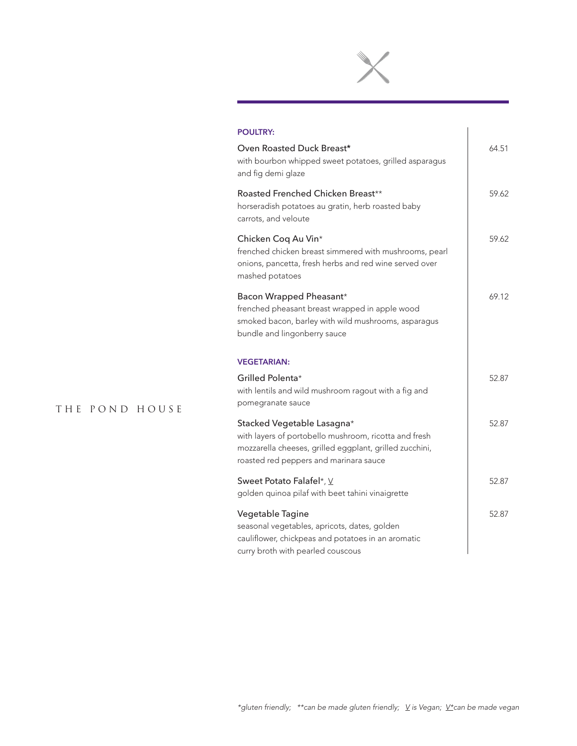

 $\begin{array}{c} \hline \end{array}$ 

#### **POULTRY:**

| Oven Roasted Duck Breast*<br>with bourbon whipped sweet potatoes, grilled asparagus<br>and fig demi glaze                                                                                | 64.51 |
|------------------------------------------------------------------------------------------------------------------------------------------------------------------------------------------|-------|
| Roasted Frenched Chicken Breast**<br>horseradish potatoes au gratin, herb roasted baby<br>carrots, and veloute                                                                           | 59.62 |
| Chicken Coq Au Vin*<br>frenched chicken breast simmered with mushrooms, pearl<br>onions, pancetta, fresh herbs and red wine served over<br>mashed potatoes                               | 59.62 |
| Bacon Wrapped Pheasant*<br>frenched pheasant breast wrapped in apple wood<br>smoked bacon, barley with wild mushrooms, asparagus<br>bundle and lingonberry sauce                         | 69.12 |
| <b>VEGETARIAN:</b>                                                                                                                                                                       |       |
| Grilled Polenta*<br>with lentils and wild mushroom ragout with a fig and<br>pomegranate sauce                                                                                            | 52.87 |
| Stacked Vegetable Lasagna*<br>with layers of portobello mushroom, ricotta and fresh<br>mozzarella cheeses, grilled eggplant, grilled zucchini,<br>roasted red peppers and marinara sauce | 52.87 |
| Sweet Potato Falafel*, V<br>golden quinoa pilaf with beet tahini vinaigrette                                                                                                             | 52.87 |
| Vegetable Tagine<br>seasonal vegetables, apricots, dates, golden<br>cauliflower, chickpeas and potatoes in an aromatic<br>curry broth with pearled couscous                              | 52.87 |

## THE POND HOUSE